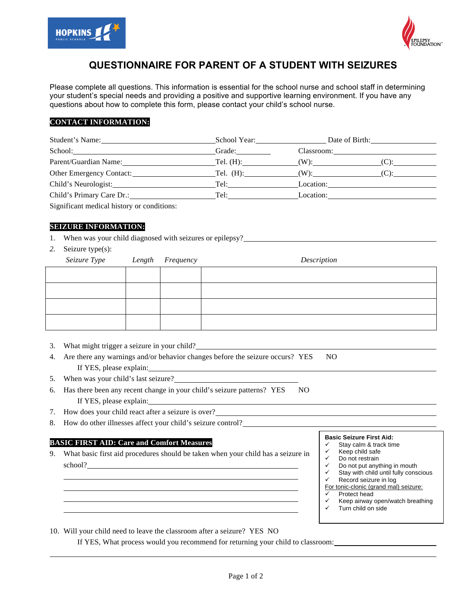



# **QUESTIONNAIRE FOR PARENT OF A STUDENT WITH SEIZURES**

Please complete all questions. This information is essential for the school nurse and school staff in determining your student's special needs and providing a positive and supportive learning environment. If you have any questions about how to complete this form, please contact your child's school nurse.

# **CONTACT INFORMATION:**

| Student's Name:           | School Year: 1988 1999                                                                                                                                                                                                         | Date of Birth: |         |
|---------------------------|--------------------------------------------------------------------------------------------------------------------------------------------------------------------------------------------------------------------------------|----------------|---------|
| School: School:           | Grade:                                                                                                                                                                                                                         | Classroom:     |         |
| Parent/Guardian Name:     |                                                                                                                                                                                                                                |                |         |
|                           |                                                                                                                                                                                                                                |                | $(C)$ : |
| Child's Neurologist:      | Tel: The contract of the contract of the contract of the contract of the contract of the contract of the contract of the contract of the contract of the contract of the contract of the contract of the contract of the contr | Location:      |         |
| Child's Primary Care Dr.: | Tel: The contract of the contract of the contract of the contract of the contract of the contract of the contract of the contract of the contract of the contract of the contract of the contract of the contract of the contr | Location:      |         |

Significant medical history or conditions:

# **SEIZURE INFORMATION:**

- 1. When was your child diagnosed with seizures or epilepsy?
- *2.* Seizure type(s):

| Seizure Type Length Frequency |  | Description |
|-------------------------------|--|-------------|
|                               |  |             |
|                               |  |             |
|                               |  |             |
|                               |  |             |

- 3. What might trigger a seizure in your child?
- 4. Are there any warnings and/or behavior changes before the seizure occurs? YES NO If YES, please explain:
- 5. When was your child's last seizure?
- 6. Has there been any recent change in your child's seizure patterns? YES NO If YES, please explain:
- 7. How does your child react after a seizure is over?
- 8. How do other illnesses affect your child's seizure control?

## **BASIC FIRST AID: Care and Comfort Measures**

- 9. What basic first aid procedures should be taken when your child has a seizure in school?
- **Basic Seizure First Aid:**
- Stay calm & track time
- $\checkmark$  Keep child safe<br> $\checkmark$  Do not restrain Do not restrain
- 
- $\checkmark$  Do not put anything in mouth
- $\checkmark$  Stay with child until fully conscious<br> $\checkmark$  Becord seizure in log Record seizure in log

For tonic-clonic (grand mal) seizure:

- $\checkmark$  Protect head
- $\times$  Keep airway open/watch breathing
- Turn child on side
- 10. Will your child need to leave the classroom after a seizure? YES NO

If YES, What process would you recommend for returning your child to classroom: